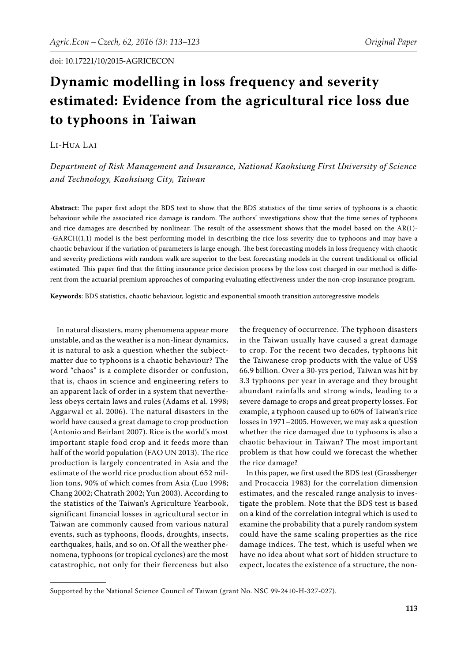## **Dynamic modelling in loss frequency and severity estimated: Evidence from the agricultural rice loss due to typhoons in Taiwan**

## Li-Hua Lai

*Department of Risk Management and Insurance, National Kaohsiung First University of Science and Technology, Kaohsiung City, Taiwan*

Abstract: The paper first adopt the BDS test to show that the BDS statistics of the time series of typhoons is a chaotic behaviour while the associated rice damage is random. The authors' investigations show that the time series of typhoons and rice damages are described by nonlinear. The result of the assessment shows that the model based on the  $AR(1)$ --GARCH(1,1) model is the best performing model in describing the rice loss severity due to typhoons and may have a chaotic behaviour if the variation of parameters is large enough. The best forecasting models in loss frequency with chaotic and severity predictions with random walk are superior to the best forecasting models in the current traditional or official estimated. This paper find that the fitting insurance price decision process by the loss cost charged in our method is different from the actuarial premium approaches of comparing evaluating effectiveness under the non-crop insurance program.

**Keywords**: BDS statistics, chaotic behaviour, logistic and exponential smooth transition autoregressive models

In natural disasters, many phenomena appear more unstable, and as the weather is a non-linear dynamics, it is natural to ask a question whether the subjectmatter due to typhoons is a chaotic behaviour? The word "chaos" is a complete disorder or confusion, that is, chaos in science and engineering refers to an apparent lack of order in a system that nevertheless obeys certain laws and rules (Adams et al. 1998; Aggarwal et al. 2006). The natural disasters in the world have caused a great damage to crop production (Antonio and Beirlant 2007). Rice is the world's most important staple food crop and it feeds more than half of the world population (FAO UN 2013). The rice production is largely concentrated in Asia and the estimate of the world rice production about 652 million tons, 90% of which comes from Asia (Luo 1998; Chang 2002; Chatrath 2002; Yun 2003). According to the statistics of the Taiwan's Agriculture Yearbook, significant financial losses in agricultural sector in Taiwan are commonly caused from various natural events, such as typhoons, floods, droughts, insects, earthquakes, hails, and so on. Of all the weather phenomena, typhoons (or tropical cyclones) are the most catastrophic, not only for their fierceness but also

the frequency of occurrence. The typhoon disasters in the Taiwan usually have caused a great damage to crop. For the recent two decades, typhoons hit the Taiwanese crop products with the value of US\$ 66.9 billion. Over a 30-yrs period, Taiwan was hit by 3.3 typhoons per year in average and they brought abundant rainfalls and strong winds, leading to a severe damage to crops and great property losses. For example, a typhoon caused up to 60% of Taiwan's rice losses in 1971–2005. However, we may ask a question whether the rice damaged due to typhoons is also a chaotic behaviour in Taiwan? The most important problem is that how could we forecast the whether the rice damage?

In this paper, we first used the BDS test (Grassberger and Procaccia 1983) for the correlation dimension estimates, and the rescaled range analysis to investigate the problem. Note that the BDS test is based on a kind of the correlation integral which is used to examine the probability that a purely random system could have the same scaling properties as the rice damage indices. The test, which is useful when we have no idea about what sort of hidden structure to expect, locates the existence of a structure, the non-

Supported by the National Science Council of Taiwan (grant No. NSC 99-2410-H-327-027).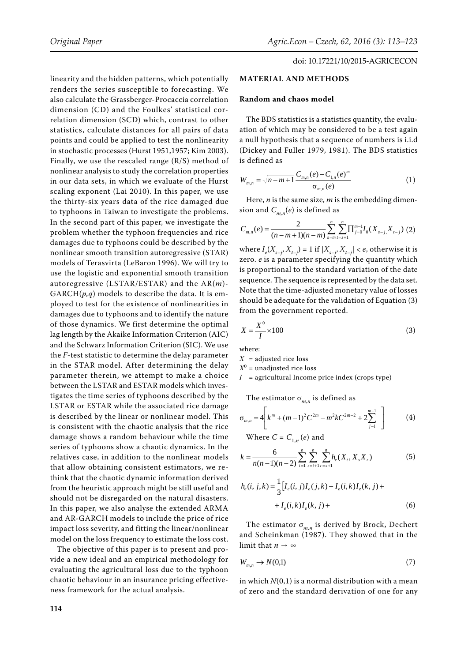linearity and the hidden patterns, which potentially renders the series susceptible to forecasting. We also calculate the Grassberger-Procaccia correlation dimension (CD) and the Foulkes' statistical correlation dimension (SCD) which, contrast to other statistics, calculate distances for all pairs of data points and could be applied to test the nonlinearity in stochastic processes (Hurst 1951,1957; Kim 2003). Finally, we use the rescaled range (R/S) method of nonlinear analysis to study the correlation properties in our data sets, in which we evaluate of the Hurst scaling exponent (Lai 2010). In this paper, we use the thirty-six years data of the rice damaged due to typhoons in Taiwan to investigate the problems. In the second part of this paper, we investigate the problem whether the typhoon frequencies and rice damages due to typhoons could be described by the nonlinear smooth transition autoregressive (STAR) models of Terasvirta (LeBaron 1996). We will try to use the logistic and exponential smooth transition autoregressive (LSTAR/ESTAR) and the AR(*m*)-  $GARCH(p,q)$  models to describe the data. It is employed to test for the existence of nonlinearities in damages due to typhoons and to identify the nature of those dynamics. We first determine the optimal lag length by the Akaike Information Criterion (AIC) and the Schwarz Information Criterion (SIC). We use the *F*-test statistic to determine the delay parameter in the STAR model. After determining the delay parameter therein, we attempt to make a choice between the LSTAR and ESTAR models which investigates the time series of typhoons described by the LSTAR or ESTAR while the associated rice damage is described by the linear or nonlinear model. This is consistent with the chaotic analysis that the rice damage shows a random behaviour while the time series of typhoons show a chaotic dynamics. In the relatives case, in addition to the nonlinear models that allow obtaining consistent estimators, we rethink that the chaotic dynamic information derived from the heuristic approach might be still useful and should not be disregarded on the natural disasters. In this paper, we also analyse the extended ARMA and AR-GARCH models to include the price of rice impact loss severity, and fitting the linear/nonlinear model on the loss frequency to estimate the loss cost.

The objective of this paper is to present and provide a new ideal and an empirical methodology for evaluating the agricultural loss due to the typhoon chaotic behaviour in an insurance pricing effectiveness framework for the actual analysis.

#### doi: 10.17221/10/2015-AGRICECON

# **MATERIAL AND METHODS**

## **Random and chaos model**

The BDS statistics is a statistics quantity, the evaluation of which may be considered to be a test again a null hypothesis that a sequence of numbers is i.i.d (Dickey and Fuller 1979, 1981). The BDS statistics is defined as

$$
W_{m,n} = \sqrt{n-m+1} \frac{C_{m,n}(e) - C_{1,n}(e)^m}{\sigma_{m,n}(e)}
$$
(1)

Here, *n* is the same size, *m* is the embedding dimension and  $C_{m,n}(e)$  is defined as

$$
C_{m,n}(e) = \frac{2}{(n-m+1)(n-m)} \sum_{s=m}^{n} \sum_{t=s+1}^{n} \prod_{j=0}^{m-1} I_0(X_{s-j}, X_{t-j})
$$
 (2)

where  $I_e(X_{s-j}, X_{t-j}) = 1$  if  $|X_{s-j}, X_{t-j}| < e$ , otherwise it is zero. *e* is a parameter specifying the quantity which is proportional to the standard variation of the date sequence. The sequence is represented by the data set. Note that the time-adjusted monetary value of losses should be adequate for the validation of Equation (3) from the government reported.

$$
X = \frac{X^0}{I} \times 100\tag{3}
$$

where:

 $X =$ adjusted rice loss

 $X^0$  = unadjusted rice loss

 $I =$  agricultural Income price index (crops type)

The estimator  $\sigma_{m,n}$  is defined as

$$
\sigma_{m,n} = 4 \left[ k^m + (m-1)^2 C^{2m} - m^2 k C^{2m-2} + 2 \sum_{j=1}^{m-1} \right] \tag{4}
$$

Where  $C = C_{1,n}(e)$  and

$$
k = \frac{6}{n(n-1)(n-2)} \sum_{t=1}^{n} \sum_{s=t+1}^{n} \sum_{r=s+1}^{n} h_e(X_r, X_s X_r)
$$
(5)

$$
h_e(i, j, k) = \frac{1}{3} \Big[ I_e(i, j) I_e(j, k) + I_e(i, k) I_e(k, j) +
$$
  
+ 
$$
I_e(i, k) I_e(k, j) +
$$
 (6)

The estimator  $\sigma_{m,n}$  is derived by Brock, Dechert and Scheinkman (1987). They showed that in the limit that  $n \to \infty$ 

$$
W_{m,n} \to N(0,1) \tag{7}
$$

in which *N*(0,1) is a normal distribution with a mean of zero and the standard derivation of one for any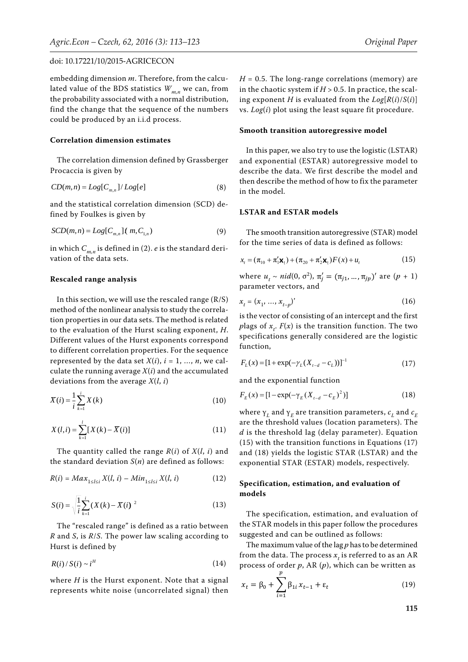embedding dimension *m*. Therefore, from the calculated value of the BDS statistics  $W_{m,n}$  we can, from the probability associated with a normal distribution, find the change that the sequence of the numbers could be produced by an i.i.d process.

#### **Correlation dimension estimates**

The correlation dimension defined by Grassberger Procaccia is given by

$$
CD(m, n) = Log[C_{m,n}]/Log[e]
$$
 (8)

and the statistical correlation dimension (SCD) defined by Foulkes is given by

$$
SCD(m,n) = Log[C_{m,n}](m, C_{1,n})
$$
\n(9)

in which  $C_{m,n}$  is defined in (2). *e* is the standard derivation of the data sets.

#### **Rescaled range analysis**

In this section, we will use the rescaled range  $(R/S)$ method of the nonlinear analysis to study the correlation properties in our data sets. The method is related to the evaluation of the Hurst scaling exponent, *H*. Different values of the Hurst exponents correspond to different correlation properties. For the sequence represented by the data set  $X(i)$ ,  $i = 1, ..., n$ , we calculate the running average *X*(*i*) and the accumulated deviations from the average *X*(*l*, *i*)

$$
\overline{X}(i) = \frac{1}{i} \sum_{k=1}^{i} X(k)
$$
\n(10)

$$
X(l,i) = \sum_{k=1}^{l} [X(k) - \overline{X}(i)]
$$
\n(11)

The quantity called the range *R*(*i*) of *X*(*l*, *i*) and the standard deviation *S*(*n*) are defined as follows:

$$
R(i) = Max_{1 \leq l \leq i} X(l, i) - Min_{1 \leq l \leq i} X(l, i)
$$
 (12)

$$
S(i) = \sqrt{\frac{1}{i} \sum_{k=1}^{i} (X(k) - \overline{X}(i))^2}
$$
 (13)

The "rescaled range" is defined as a ratio between *R* and *S*, is *R*/*S*. The power law scaling according to Hurst is defined by

$$
R(i)/S(i) \sim i^H \tag{14}
$$

where *H* is the Hurst exponent. Note that a signal represents white noise (uncorrelated signal) then  $H = 0.5$ . The long-range correlations (memory) are in the chaotic system if  $H > 0.5$ . In practice, the scaling exponent *H* is evaluated from the  $Log[R(i)/S(i)]$ vs. *Log*(*i*) plot using the least square fit procedure.

#### **Smooth transition autoregressive model**

In this paper, we also try to use the logistic (LSTAR) and exponential (ESTAR) autoregressive model to describe the data. We first describe the model and then describe the method of how to fix the parameter in the model.

#### **LSTAR and ESTAR models**

The smooth transition autoregressive (STAR) model for the time series of data is defined as follows:

$$
x_{t} = (\pi_{10} + \pi_{1}' \mathbf{X}_{t}) + (\pi_{20} + \pi_{2}' \mathbf{X}_{t}) F(x) + u_{t}
$$
\n(15)

where  $u_t \sim \text{nid}(0, \sigma^2)$ ,  $\pi'_j = (\pi_{j1}, ..., \pi_{jp})'$  are  $(p + 1)$ parameter vectors, and

$$
x_t = (x_1, \dots, x_{t-p})' \tag{16}
$$

is the vector of consisting of an intercept and the first *p*lags of  $x_t$ .  $F(x)$  is the transition function. The two specifications generally considered are the logistic function,

$$
F_L(x) = [1 + \exp(-\gamma_L(X_{t-d} - c_L))]^{-1}
$$
\n(17)

and the exponential function

$$
F_E(x) = [1 - \exp(-\gamma_E (X_{t-d} - c_E)^2)]
$$
\n(18)

where  $\gamma_L$  and  $\gamma_E$  are transition parameters,  $c_L$  and  $c_E$ are the threshold values (location parameters). The *d* is the threshold lag (delay parameter). Equation (15) with the transition functions in Equations (17) and (18) yields the logistic STAR (LSTAR) and the exponential STAR (ESTAR) models, respectively.

## **Specification, estimation, and evaluation of models**

The specification, estimation, and evaluation of the STAR models in this paper follow the procedures suggested and can be outlined as follows:

The maximum value of the lag *p* has to be determined from the data. The process  $x_t$  is referred to as an AR process of order *p*, AR (*p*), which can be written as

$$
x_{t} = \beta_{0} + \sum_{i=1}^{p} \beta_{1i} x_{t-1} + \varepsilon_{t}
$$
 (19)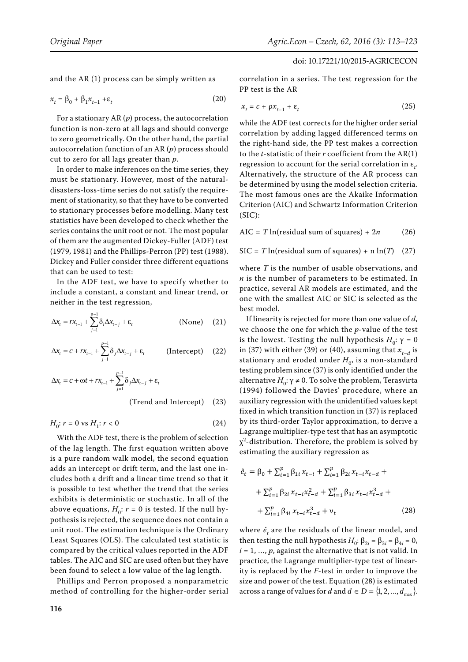and the AR (1) process can be simply written as

$$
x_t = \beta_0 + \beta_1 x_{t-1} + \varepsilon_t \tag{20}
$$

For a stationary AR (*p*) process, the autocorrelation function is non-zero at all lags and should converge to zero geometrically. On the other hand, the partial autocorrelation function of an AR (*p*) process should cut to zero for all lags greater than *p*.

In order to make inferences on the time series, they must be stationary. However, most of the naturaldisasters-loss-time series do not satisfy the requirement of stationarity, so that they have to be converted to stationary processes before modelling. Many test statistics have been developed to check whether the series contains the unit root or not. The most popular of them are the augmented Dickey-Fuller (ADF) test (1979, 1981) and the Phillips-Perron (PP) test (1988). Dickey and Fuller consider three different equations that can be used to test:

In the ADF test, we have to specify whether to include a constant, a constant and linear trend, or neither in the test regression,

$$
\Delta x_t = rx_{t-1} + \sum_{j=1}^{p-1} \delta_j \Delta x_{t-j} + \varepsilon_t
$$
 (None) (21)

$$
\Delta x_t = c + rx_{t-1} + \sum_{j=1}^{p-1} \delta_j \Delta x_{t-j} + \varepsilon_t \qquad \text{(Intercept)} \quad (22)
$$

$$
\Delta x_t = c + \omega t + rx_{t-1} + \sum_{j=1}^{p-1} \delta_j \Delta x_{t-j} + \varepsilon_t
$$

(Trend and Intercept) (23)

$$
H_0: r = 0 \text{ vs } H_1: r < 0 \tag{24}
$$

With the ADF test, there is the problem of selection of the lag length. The first equation written above is a pure random walk model, the second equation adds an intercept or drift term, and the last one includes both a drift and a linear time trend so that it is possible to test whether the trend that the series exhibits is deterministic or stochastic. In all of the above equations,  $H_0$ :  $r = 0$  is tested. If the null hypothesis is rejected, the sequence does not contain a unit root. The estimation technique is the Ordinary Least Squares (OLS). The calculated test statistic is compared by the critical values reported in the ADF tables. The AIC and SIC are used often but they have been found to select a low value of the lag length.

Phillips and Perron proposed a nonparametric method of controlling for the higher-order serial

correlation in a series. The test regression for the PP test is the AR

$$
x_t = c + \rho x_{t-1} + \varepsilon_t \tag{25}
$$

while the ADF test corrects for the higher order serial correlation by adding lagged differenced terms on the right-hand side, the PP test makes a correction to the *t*-statistic of their *r* coefficient from the AR(1) regression to account for the serial correlation in  $\varepsilon_{t^{\star}}$ Alternatively, the structure of the AR process can be determined by using the model selection criteria. The most famous ones are the Akaike Information Criterion (AIC) and Schwartz Information Criterion (SIC):

AIC =  $T \ln(\text{residual sum of squares}) + 2n$  (26)

 $SIC = T ln(residual sum of squares) + n ln(T)$  (27)

where *T* is the number of usable observations, and *n* is the number of parameters to be estimated. In practice, several AR models are estimated, and the one with the smallest AIC or SIC is selected as the best model.

If linearity is rejected for more than one value of *d*, we choose the one for which the *p*-value of the test is the lowest. Testing the null hypothesis  $H_0$ :  $\gamma = 0$ in (37) with either (39) or (40), assuming that  $x_{t-d}$  is stationary and eroded under  $H_0$ , is a non-standard testing problem since (37) is only identified under the alternative  $H_0$ :  $\gamma \neq 0$ . To solve the problem, Terasvirta (1994) followed the Davies' procedure, where an auxiliary regression with the unidentified values kept fixed in which transition function in (37) is replaced by its third-order Taylor approximation, to derive a Lagrange multiplier-type test that has an asymptotic  $\chi^2$ -distribution. Therefore, the problem is solved by estimating the auxiliary regression as

$$
\hat{e}_t = \beta_0 + \sum_{i=1}^p \beta_{1i} x_{t-i} + \sum_{i=1}^p \beta_{2i} x_{t-i} x_{t-d} +
$$
  
+ 
$$
\sum_{i=1}^p \beta_{2i} x_{t-i} x_{t-d}^2 + \sum_{i=1}^p \beta_{3i} x_{t-i} x_{t-d}^3 +
$$
  
+ 
$$
\sum_{i=1}^p \beta_{4i} x_{t-i} x_{t-d}^3 + v_t
$$
 (28)

where  $\hat{e}^{\phantom{\dag}}_t$  are the residuals of the linear model, and then testing the null hypothesis  $H_0: \beta_{2i} = \beta_{3i} = \beta_{4i} = 0$ ,  $i = 1, ..., p$ , against the alternative that is not valid. In practice, the Lagrange multiplier-type test of linearity is replaced by the *F*-test in order to improve the size and power of the test. Equation (28) is estimated across a range of values for *d* and  $d \in D = \{1, 2, ..., d_{\text{max}}\}.$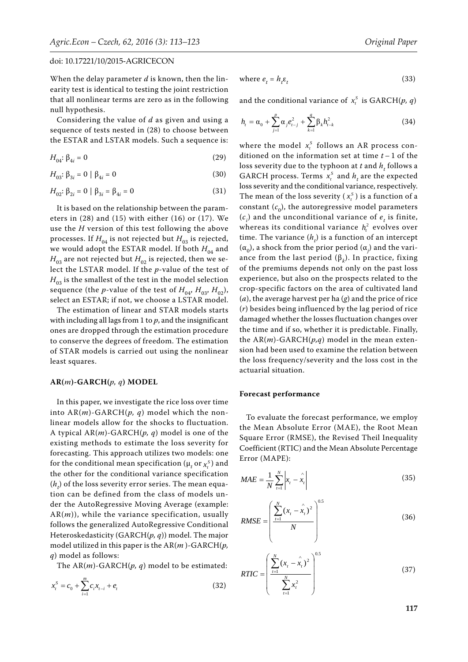When the delay parameter *d* is known, then the linearity test is identical to testing the joint restriction that all nonlinear terms are zero as in the following null hypothesis.

Considering the value of *d* as given and using a sequence of tests nested in (28) to choose between the ESTAR and LSTAR models. Such a sequence is:

$$
H_{04}: \beta_{4i} = 0 \tag{29}
$$

$$
H_{03}: \beta_{3i} = 0 | \beta_{4i} = 0
$$
 (30)

$$
H_{02}: \beta_{2i} = 0 | \beta_{3i} = \beta_{4i} = 0
$$
 (31)

It is based on the relationship between the parameters in (28) and (15) with either (16) or (17). We use the *H* version of this test following the above processes. If  $H_{04}$  is not rejected but  $H_{03}$  is rejected, we would adopt the ESTAR model. If both  $H_{04}$  and  $H_{03}$  are not rejected but  $H_{02}$  is rejected, then we select the LSTAR model. If the *p*-value of the test of  $H_{03}$  is the smallest of the test in the model selection sequence (the *p*-value of the test of  $H_{04}$ ,  $H_{03}$ ,  $H_{02}$ ), select an ESTAR; if not, we choose a LSTAR model.

The estimation of linear and STAR models starts with including all lags from 1 to *p*, and the insignificant ones are dropped through the estimation procedure to conserve the degrees of freedom. The estimation of STAR models is carried out using the nonlinear least squares.

## **AR(***m***)-GARCH(***p, q***) MODEL**

In this paper, we investigate the rice loss over time into AR(*m*)-GARCH(*p, q*) model which the nonlinear models allow for the shocks to fluctuation. A typical AR(*m*)-GARCH(*p, q*) model is one of the existing methods to estimate the loss severity for forecasting. This approach utilizes two models: one for the conditional mean specification  $(\mu_t$  or  $x_t^s$ ) and the other for the conditional variance specification  $(h_t)$  of the loss severity error series. The mean equation can be defined from the class of models under the AutoRegressive Moving Average (example: AR(*m*)), while the variance specification, usually follows the generalized AutoRegressive Conditional Heteroskedasticity (GARCH(*p, q*)) model. The major model utilized in this paper is the AR(*m* )-GARCH(*p, q*) model as follows:

The AR(*m*)-GARCH(*p, q*) model to be estimated:

$$
x_t^S = c_0 + \sum_{i=1}^m c_i x_{t-i} + e_t
$$
 (32)

where 
$$
e_t = h_t \varepsilon_t
$$
 (33)

and the conditional variance of  $x_i^s$  is  $GARCH(p, q)$ 

$$
h_{t} = \alpha_{0} + \sum_{j=1}^{p} \alpha_{j} e_{t-j}^{2} + \sum_{k=1}^{q} \beta_{k} h_{t-k}^{2}
$$
 (34)

where the model  $x_t^s$  follows an AR process conditioned on the information set at time *t* – 1 of the loss severity due to the typhoon at  $t$  and  $h_t$  follows a GARCH process. Terms  $x_t^s$  and  $h_t$  are the expected loss severity and the conditional variance, respectively. The mean of the loss severity ( $x_t^s$ ) is a function of a constant  $(c_0)$ , the autoregressive model parameters  $(c_i)$  and the unconditional variance of  $e_t$  is finite, whereas its conditional variance  $h_t^2$  evolves over time. The variance  $(h_t)$  is a function of an intercept ( $α<sub>0</sub>$ ), a shock from the prior period ( $α<sub>j</sub>$ ) and the variance from the last period  $(\beta_k)$ . In practice, fixing of the premiums depends not only on the past loss experience, but also on the prospects related to the crop-specific factors on the area of cultivated land (*a*), the average harvest per ha (*g*) and the price of rice (*r*) besides being influenced by the lag period of rice damaged whether the losses fluctuation changes over the time and if so, whether it is predictable. Finally, the AR(*m*)-GARCH(*p,q*) model in the mean extension had been used to examine the relation between the loss frequency/severity and the loss cost in the actuarial situation.

#### **Forecast performance**

To evaluate the forecast performance, we employ the Mean Absolute Error (MAE), the Root Mean Square Error (RMSE), the Revised Theil Inequality Coefficient (RTIC) and the Mean Absolute Percentage Error (MAPE):

$$
MAE = \frac{1}{N} \sum_{t=1}^{N} \left| x_t - \hat{x}_t \right| \tag{35}
$$

RMSE = 
$$
\left(\frac{\sum_{t=1}^{N} (x_t - \hat{x}_t)^2}{N}\right)^{0.5}
$$
 (36)

$$
RTIC = \left(\frac{\sum_{t=1}^{N} (x_t - \hat{x}_t)^2}{\sum_{t=1}^{N} x_t^2}\right)^{0.5}
$$
(37)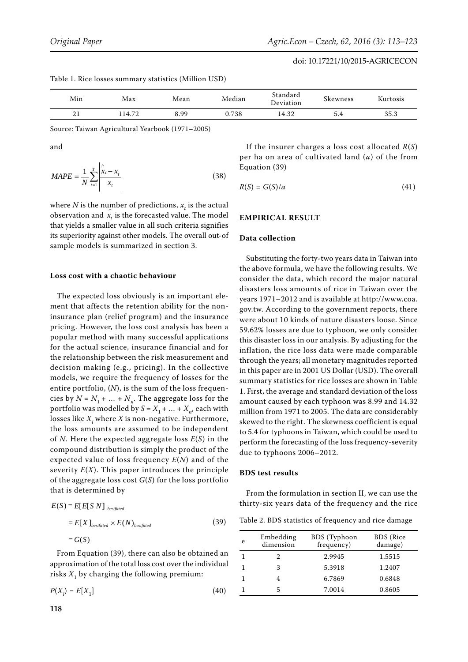| Min     | Max   | Mean | Median | Standard<br>Deviation | Skewness | Kurtosis |
|---------|-------|------|--------|-----------------------|----------|----------|
| n.<br>◢ | 14.72 | 8.99 | 0.738  | 14.32                 | 5.4      | 35.3     |

Table 1. Rice losses summary statistics (Million USD)

Source: Taiwan Agricultural Yearbook (1971–2005)

and

$$
MAPE = \frac{1}{N} \sum_{t=1}^{T} \left| \frac{\hat{x}_t - x_t}{x_t} \right| \tag{38}
$$

where  $N$  is the number of predictions,  $x_{t}$  is the actual observation and  $\hat{x}_t$  is the forecasted value. The model that yields a smaller value in all such criteria signifies its superiority against other models. The overall out-of sample models is summarized in section 3.

#### **Loss cost with a chaotic behaviour**

The expected loss obviously is an important element that affects the retention ability for the noninsurance plan (relief program) and the insurance pricing. However, the loss cost analysis has been a popular method with many successful applications for the actual science, insurance financial and for the relationship between the risk measurement and decision making (e.g., pricing). In the collective models, we require the frequency of losses for the entire portfolio, (*N*), is the sum of the loss frequencies by  $N = N_1 + ... + N_n$ . The aggregate loss for the portfolio was modelled by  $S = X_1 + ... + X_n$ , each with losses like  $X_i$  where  $X$  is non-negative. Furthermore, the loss amounts are assumed to be independent of *N*. Here the expected aggregate loss *E*(*S*) in the compound distribution is simply the product of the expected value of loss frequency *E*(*N*) and of the severity  $E(X)$ . This paper introduces the principle of the aggregate loss cost *G*(*S*) for the loss portfolio that is determined by

$$
E(S) = E[E[S|N]_{\text{bestfitted}}= E[X]_{\text{bestfitted}} \times E(N)_{\text{bestfitted}} \tag{39}
$$

$$
= G(S)
$$

From Equation (39), there can also be obtained an approximation of the total loss cost over the individual risks  $X_1$  by charging the following premium:

$$
P(X_i) = E[X_1] \tag{40}
$$

If the insurer charges a loss cost allocated *R*(*S*) per ha on area of cultivated land (*a*) of the from Equation (39)

$$
R(S) = G(S)/a \tag{41}
$$

#### **EMPIRICAL RESULT**

#### **Data collection**

Substituting the forty-two years data in Taiwan into the above formula, we have the following results. We consider the data, which record the major natural disasters loss amounts of rice in Taiwan over the years 1971–2012 and is available at http://www.coa. gov.tw. According to the government reports, there were about 10 kinds of nature disasters loose. Since 59.62% losses are due to typhoon, we only consider this disaster loss in our analysis. By adjusting for the inflation, the rice loss data were made comparable through the years; all monetary magnitudes reported in this paper are in 2001 US Dollar (USD). The overall summary statistics for rice losses are shown in Table 1. First, the average and standard deviation of the loss amount caused by each typhoon was 8.99 and 14.32 million from 1971 to 2005. The data are considerably skewed to the right. The skewness coefficient is equal to 5.4 for typhoons in Taiwan, which could be used to perform the forecasting of the loss frequency-severity due to typhoons 2006–2012.

## **BDS test results**

From the formulation in section II, we can use the thirty-six years data of the frequency and the rice

Table 2. BDS statistics of frequency and rice damage

| e | Embedding<br>dimension | BDS (Typhoon<br>frequency) | <b>BDS</b> (Rice<br>damage) |
|---|------------------------|----------------------------|-----------------------------|
|   |                        | 2.9945                     | 1.5515                      |
|   | 3                      | 5.3918                     | 1.2407                      |
|   |                        | 6.7869                     | 0.6848                      |
|   | 5                      | 7.0014                     | 0.8605                      |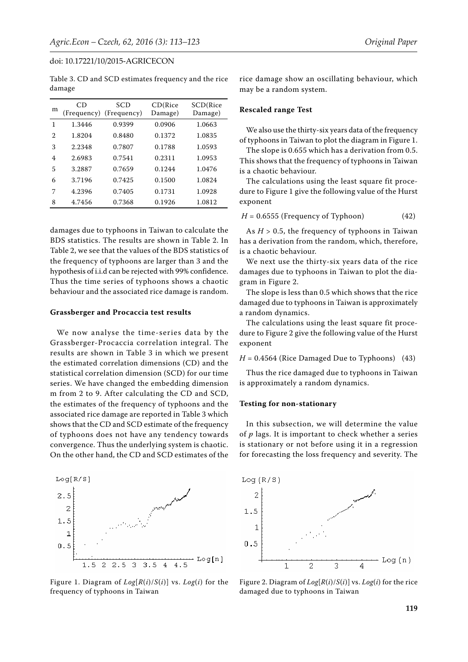Table 3. CD and SCD estimates frequency and the rice damage

| m | CD<br>(Frequency) | SCD<br>(Frequency) | CD(Rice<br>Damage) | SCD(Rice<br>Damage) |
|---|-------------------|--------------------|--------------------|---------------------|
| 1 | 1.3446            | 0.9399             | 0.0906             | 1.0663              |
| 2 | 1.8204            | 0.8480             | 0.1372             | 1.0835              |
| 3 | 2.2348            | 0.7807             | 0.1788             | 1.0593              |
| 4 | 2.6983            | 0.7541             | 0.2311             | 1.0953              |
| 5 | 3.2887            | 0.7659             | 0.1244             | 1.0476              |
| 6 | 3.7196            | 0.7425             | 0.1500             | 1.0824              |
| 7 | 4.2396            | 0.7405             | 0.1731             | 1.0928              |
| 8 | 4.7456            | 0.7368             | 0.1926             | 1.0812              |

damages due to typhoons in Taiwan to calculate the BDS statistics. The results are shown in Table 2. In Table 2, we see that the values of the BDS statistics of the frequency of typhoons are larger than 3 and the hypothesis of i.i.d can be rejected with 99% confidence. Thus the time series of typhoons shows a chaotic behaviour and the associated rice damage is random.

#### **Grassberger and Procaccia test results**

We now analyse the time-series data by the Grassberger-Procaccia correlation integral. The results are shown in Table 3 in which we present the estimated correlation dimensions (CD) and the statistical correlation dimension (SCD) for our time series. We have changed the embedding dimension m from 2 to 9. After calculating the CD and SCD, the estimates of the frequency of typhoons and the associated rice damage are reported in Table 3 which shows that the CD and SCD estimate of the frequency of typhoons does not have any tendency towards convergence. Thus the underlying system is chaotic. On the other hand, the CD and SCD estimates of the



Figure 1. Diagram of  $Log[R(i)/S(i)]$  vs.  $Log(i)$  for the frequency of typhoons in Taiwan

rice damage show an oscillating behaviour, which may be a random system.

#### **Rescaled range Test**

We also use the thirty-six years data of the frequency of typhoons in Taiwan to plot the diagram in Figure 1.

The slope is 0.655 which has a derivation from 0.5. This shows that the frequency of typhoons in Taiwan is a chaotic behaviour.

The calculations using the least square fit procedure to Figure 1 give the following value of the Hurst exponent

$$
H = 0.6555 \text{ (Frequency of Typhoon)} \tag{42}
$$

As  $H > 0.5$ , the frequency of typhoons in Taiwan has a derivation from the random, which, therefore, is a chaotic behaviour.

We next use the thirty-six years data of the rice damages due to typhoons in Taiwan to plot the diagram in Figure 2.

The slope is less than 0.5 which shows that the rice damaged due to typhoons in Taiwan is approximately a random dynamics.

The calculations using the least square fit procedure to Figure 2 give the following value of the Hurst exponent

 $H = 0.4564$  (Rice Damaged Due to Typhoons) (43)

Thus the rice damaged due to typhoons in Taiwan is approximately a random dynamics.

#### **Testing for non-stationary**

In this subsection, we will determine the value of *p* lags. It is important to check whether a series is stationary or not before using it in a regression for forecasting the loss frequency and severity. The



Figure 2. Diagram of  $Log[R(i)/S(i)]$  vs.  $Log(i)$  for the rice damaged due to typhoons in Taiwan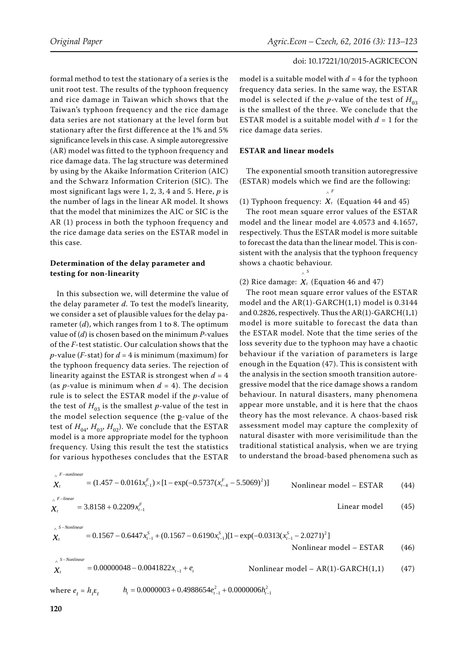formal method to test the stationary of a series is the unit root test. The results of the typhoon frequency and rice damage in Taiwan which shows that the Taiwan's typhoon frequency and the rice damage data series are not stationary at the level form but stationary after the first difference at the 1% and 5% significance levels in this case. A simple autoregressive (AR) model was fitted to the typhoon frequency and rice damage data. The lag structure was determined by using by the Akaike Information Criterion (AIC) and the Schwarz Information Criterion (SIC). The most significant lags were 1, 2, 3, 4 and 5. Here, *p* is the number of lags in the linear AR model. It shows that the model that minimizes the AIC or SIC is the AR (1) process in both the typhoon frequency and the rice damage data series on the ESTAR model in this case.

## **Determination of the delay parameter and testing for non-linearity**

In this subsection we, will determine the value of the delay parameter *d*. To test the model's linearity, we consider a set of plausible values for the delay parameter (*d*), which ranges from 1 to 8. The optimum value of (*d*) is chosen based on the minimum *P*-values of the *F*-test statistic. Our calculation shows that the *p*-value (*F*-stat) for  $d = 4$  is minimum (maximum) for the typhoon frequency data series. The rejection of linearity against the ESTAR is strongest when  $d = 4$ (as *p*-value is minimum when  $d = 4$ ). The decision rule is to select the ESTAR model if the *p*-value of the test of  $H_{03}$  is the smallest *p*-value of the test in the model selection sequence (the p-value of the test of  $H_{04}$ ,  $H_{03}$ ,  $H_{02}$ ). We conclude that the ESTAR model is a more appropriate model for the typhoon frequency. Using this result the test the statistics for various hypotheses concludes that the ESTAR

model is a suitable model with *d* = 4 for the typhoon frequency data series. In the same way, the ESTAR model is selected if the *p*-value of the test of  $H_{03}$ is the smallest of the three. We conclude that the ESTAR model is a suitable model with *d* = 1 for the rice damage data series.

## **ESTAR and linear models**

The exponential smooth transition autoregressive (ESTAR) models which we find are the following:

 $\wedge$ <sup>F</sup>

(1) Typhoon frequency:  $\mathcal{X}_t$  (Equation 44 and 45)

The root mean square error values of the ESTAR model and the linear model are 4.0573 and 4.1657, respectively. Thus the ESTAR model is more suitable to forecast the data than the linear model. This is consistent with the analysis that the typhoon frequency shows a chaotic behaviour.

(2) Rice damage:  $\mathcal{X}_t$  (Equation 46 and 47)

*S*

The root mean square error values of the ESTAR model and the AR(1)-GARCH(1,1) model is 0.3144 and 0.2826, respectively. Thus the  $AR(1)-GARCH(1,1)$ model is more suitable to forecast the data than the ESTAR model. Note that the time series of the loss severity due to the typhoon may have a chaotic behaviour if the variation of parameters is large enough in the Equation (47). This is consistent with the analysis in the section smooth transition autoregressive model that the rice damage shows a random behaviour. In natural disasters, many phenomena appear more unstable, and it is here that the chaos theory has the most relevance. A chaos-based risk assessment model may capture the complexity of natural disaster with more verisimilitude than the traditional statistical analysis, when we are trying to understand the broad-based phenomena such as

$$
\hat{x}_{t}^{F-nonlinear} = (1.457 - 0.0161x_{t-1}^{F}) \times [1 - \exp(-0.5737(x_{t-4}^{F} - 5.5069)^{2})]
$$
 Nonlinear model – ESTAR (44)  
\n
$$
\hat{x}_{t}^{F-linear} = 3.8158 + 0.2209x_{t-1}^{F}
$$
 Linear model (45)  
\n
$$
\hat{x}_{t}^{S-Nonlinear} = 0.1567 - 0.6447x_{t-1}^{S} + (0.1567 - 0.6190x_{t-1}^{S})[1 - \exp(-0.0313(x_{t-1}^{S} - 2.0271)^{2}]
$$
 Nonlinear model – ESTAR (46)  
\n
$$
\hat{x}_{t}^{S-Nonlinear} = 0.00000048 - 0.0041822x_{t-1} + e_{t}
$$
 Nonlinear model – AR(1)-GARCH(1,1) (47)  
\nwhere  $e_{t} = h_{t}\varepsilon_{t}$   $h_{t} = 0.00000003 + 0.4988654e_{t-1}^{2} + 0.00000006h_{t-1}^{2}$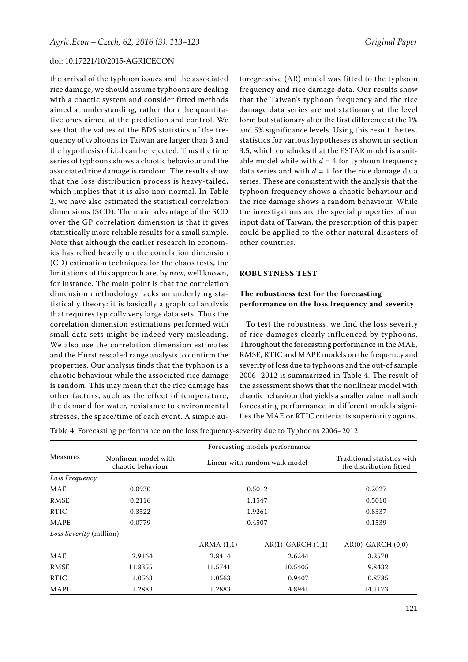the arrival of the typhoon issues and the associated rice damage, we should assume typhoons are dealing with a chaotic system and consider fitted methods aimed at understanding, rather than the quantitative ones aimed at the prediction and control. We see that the values of the BDS statistics of the frequency of typhoons in Taiwan are larger than 3 and the hypothesis of i.i.d can be rejected. Thus the time series of typhoons shows a chaotic behaviour and the associated rice damage is random. The results show that the loss distribution process is heavy-tailed, which implies that it is also non-normal. In Table 2, we have also estimated the statistical correlation dimensions (SCD). The main advantage of the SCD over the GP correlation dimension is that it gives statistically more reliable results for a small sample. Note that although the earlier research in economics has relied heavily on the correlation dimension (CD) estimation techniques for the chaos tests, the limitations of this approach are, by now, well known, for instance. The main point is that the correlation dimension methodology lacks an underlying statistically theory: it is basically a graphical analysis that requires typically very large data sets. Thus the correlation dimension estimations performed with small data sets might be indeed very misleading. We also use the correlation dimension estimates and the Hurst rescaled range analysis to confirm the properties. Our analysis finds that the typhoon is a chaotic behaviour while the associated rice damage is random. This may mean that the rice damage has other factors, such as the effect of temperature, the demand for water, resistance to environmental stresses, the space/time of each event. A simple au-

toregressive (AR) model was fitted to the typhoon frequency and rice damage data. Our results show that the Taiwan's typhoon frequency and the rice damage data series are not stationary at the level form but stationary after the first difference at the 1% and 5% significance levels. Using this result the test statistics for various hypotheses is shown in section 3.5, which concludes that the ESTAR model is a suitable model while with  $d = 4$  for typhoon frequency data series and with  $d = 1$  for the rice damage data series. These are consistent with the analysis that the typhoon frequency shows a chaotic behaviour and the rice damage shows a random behaviour. While the investigations are the special properties of our input data of Taiwan, the prescription of this paper could be applied to the other natural disasters of other countries.

#### **ROBUSTNESS TEST**

## **The robustness test for the forecasting performance on the loss frequency and severity**

To test the robustness, we find the loss severity of rice damages clearly influenced by typhoons. Throughout the forecasting performance in the MAE, RMSE, RTIC and MAPE models on the frequency and severity of loss due to typhoons and the out-of sample 2006–2012 is summarized in Table 4. The result of the assessment shows that the nonlinear model with chaotic behaviour that yields a smaller value in all such forecasting performance in different models signifies the MAE or RTIC criteria its superiority against

Table 4. Forecasting performance on the loss frequency-severity due to Typhoons 2006–2012

|                         | Forecasting models performance            |                               |                        |                                                        |  |
|-------------------------|-------------------------------------------|-------------------------------|------------------------|--------------------------------------------------------|--|
| Measures                | Nonlinear model with<br>chaotic behaviour | Linear with random walk model |                        | Traditional statistics with<br>the distribution fitted |  |
| Loss Frequency          |                                           |                               |                        |                                                        |  |
| MAE                     | 0.0930                                    | 0.5012                        |                        | 0.2027                                                 |  |
| RMSE                    | 0.2116                                    | 1.1547                        |                        | 0.5010                                                 |  |
| RTIC                    | 0.3522                                    | 1.9261                        |                        | 0.8337                                                 |  |
| MAPE                    | 0.0779                                    | 0.4507                        |                        | 0.1539                                                 |  |
| Loss Severity (million) |                                           |                               |                        |                                                        |  |
|                         |                                           | ARMA(1,1)                     | $AR(1)$ -GARCH $(1,1)$ | $AR(0)$ -GARCH $(0,0)$                                 |  |
| MAE                     | 2.9164                                    | 2.8414                        | 2.6244                 | 3.2570                                                 |  |
| RMSE                    | 11.8355                                   | 11.5741                       | 10.5405                | 9.8432                                                 |  |
| RTIC                    | 1.0563                                    | 1.0563                        | 0.9407                 | 0.8785                                                 |  |
| MAPE                    | 1.2883                                    | 1.2883                        | 4.8941                 | 14.1173                                                |  |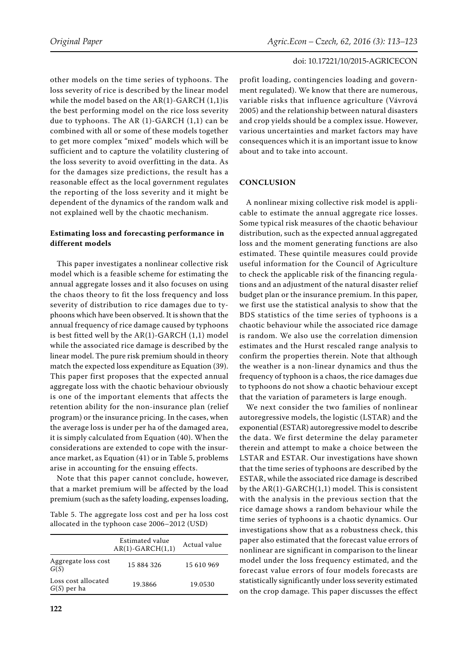other models on the time series of typhoons. The loss severity of rice is described by the linear model while the model based on the  $AR(1)$ -GARCH  $(1,1)$ is the best performing model on the rice loss severity due to typhoons. The AR (1)-GARCH (1,1) can be combined with all or some of these models together to get more complex "mixed" models which will be sufficient and to capture the volatility clustering of the loss severity to avoid overfitting in the data. As for the damages size predictions, the result has a reasonable effect as the local government regulates the reporting of the loss severity and it might be dependent of the dynamics of the random walk and not explained well by the chaotic mechanism.

## **Estimating loss and forecasting performance in different models**

This paper investigates a nonlinear collective risk model which is a feasible scheme for estimating the annual aggregate losses and it also focuses on using the chaos theory to fit the loss frequency and loss severity of distribution to rice damages due to typhoons which have been observed. It is shown that the annual frequency of rice damage caused by typhoons is best fitted well by the AR(1)-GARCH (1,1) model while the associated rice damage is described by the linear model. The pure risk premium should in theory match the expected loss expenditure as Equation (39). This paper first proposes that the expected annual aggregate loss with the chaotic behaviour obviously is one of the important elements that affects the retention ability for the non-insurance plan (relief program) or the insurance pricing. In the cases, when the average loss is under per ha of the damaged area, it is simply calculated from Equation (40). When the considerations are extended to cope with the insurance market, as Equation (41) or in Table 5, problems arise in accounting for the ensuing effects.

Note that this paper cannot conclude, however, that a market premium will be affected by the load premium (such as the safety loading, expenses loading,

Table 5. The aggregate loss cost and per ha loss cost allocated in the typhoon case 2006–2012 (USD)

|                                      | Estimated value<br>$AR(1)-GARCH(1,1)$ | Actual value |
|--------------------------------------|---------------------------------------|--------------|
| Aggregate loss cost<br>G(S)          | 15 884 326                            | 15 610 969   |
| Loss cost allocated<br>$G(S)$ per ha | 19.3866                               | 19.0530      |

**122**

profit loading, contingencies loading and government regulated). We know that there are numerous, variable risks that influence agriculture (Vávrová 2005) and the relationship between natural disasters and crop yields should be a complex issue. However, various uncertainties and market factors may have consequences which it is an important issue to know about and to take into account.

## **CONCLUSION**

A nonlinear mixing collective risk model is applicable to estimate the annual aggregate rice losses. Some typical risk measures of the chaotic behaviour distribution, such as the expected annual aggregated loss and the moment generating functions are also estimated. These quintile measures could provide useful information for the Council of Agriculture to check the applicable risk of the financing regulations and an adjustment of the natural disaster relief budget plan or the insurance premium. In this paper, we first use the statistical analysis to show that the BDS statistics of the time series of typhoons is a chaotic behaviour while the associated rice damage is random. We also use the correlation dimension estimates and the Hurst rescaled range analysis to confirm the properties therein. Note that although the weather is a non-linear dynamics and thus the frequency of typhoon is a chaos, the rice damages due to typhoons do not show a chaotic behaviour except that the variation of parameters is large enough.

We next consider the two families of nonlinear autoregressive models, the logistic (LSTAR) and the exponential (ESTAR) autoregressive model to describe the data. We first determine the delay parameter therein and attempt to make a choice between the LSTAR and ESTAR. Our investigations have shown that the time series of typhoons are described by the ESTAR, while the associated rice damage is described by the AR(1)-GARCH(1,1) model. This is consistent with the analysis in the previous section that the rice damage shows a random behaviour while the time series of typhoons is a chaotic dynamics. Our investigations show that as a robustness check, this paper also estimated that the forecast value errors of nonlinear are significant in comparison to the linear model under the loss frequency estimated, and the forecast value errors of four models forecasts are statistically significantly under loss severity estimated on the crop damage. This paper discusses the effect